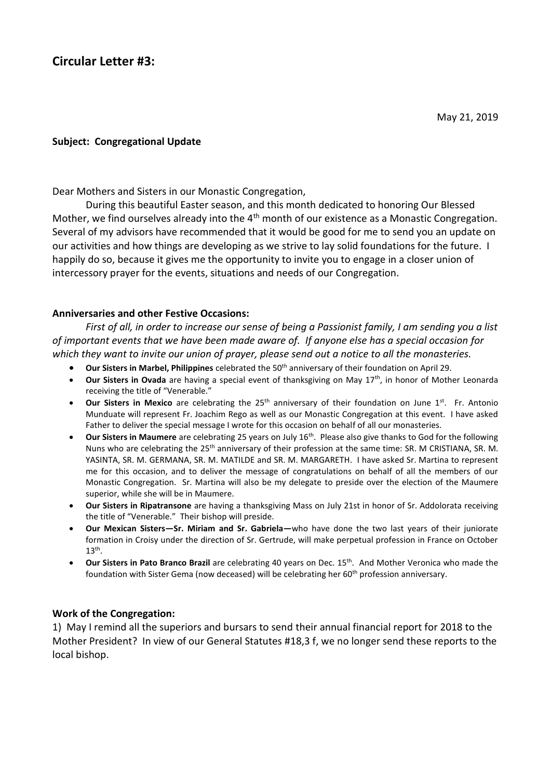## **Subject: Congregational Update**

Dear Mothers and Sisters in our Monastic Congregation,

During this beautiful Easter season, and this month dedicated to honoring Our Blessed Mother, we find ourselves already into the 4<sup>th</sup> month of our existence as a Monastic Congregation. Several of my advisors have recommended that it would be good for me to send you an update on our activities and how things are developing as we strive to lay solid foundations for the future. I happily do so, because it gives me the opportunity to invite you to engage in a closer union of intercessory prayer for the events, situations and needs of our Congregation.

## **Anniversaries and other Festive Occasions:**

*First of all, in order to increase our sense of being a Passionist family, I am sending you a list of important events that we have been made aware of. If anyone else has a special occasion for which they want to invite our union of prayer, please send out a notice to all the monasteries.* 

- **Our Sisters in Marbel, Philippines** celebrated the 50<sup>th</sup> anniversary of their foundation on April 29.
- Our Sisters in Ovada are having a special event of thanksgiving on May 17<sup>th</sup>, in honor of Mother Leonarda receiving the title of "Venerable."
- **Our Sisters in Mexico** are celebrating the 25th anniversary of their foundation on June 1st. Fr. Antonio Munduate will represent Fr. Joachim Rego as well as our Monastic Congregation at this event. I have asked Father to deliver the special message I wrote for this occasion on behalf of all our monasteries.
- **Our Sisters in Maumere** are celebrating 25 years on July 16th. Please also give thanks to God for the following Nuns who are celebrating the 25<sup>th</sup> anniversary of their profession at the same time: SR. M CRISTIANA, SR. M. YASINTA, SR. M. GERMANA, SR. M. MATILDE and SR. M. MARGARETH. I have asked Sr. Martina to represent me for this occasion, and to deliver the message of congratulations on behalf of all the members of our Monastic Congregation. Sr. Martina will also be my delegate to preside over the election of the Maumere superior, while she will be in Maumere.
- **Our Sisters in Ripatransone** are having a thanksgiving Mass on July 21st in honor of Sr. Addolorata receiving the title of "Venerable." Their bishop will preside.
- **Our Mexican Sisters—Sr. Miriam and Sr. Gabriela—**who have done the two last years of their juniorate formation in Croisy under the direction of Sr. Gertrude, will make perpetual profession in France on October  $13<sup>th</sup>$ .
- **Our Sisters in Pato Branco Brazil** are celebrating 40 years on Dec. 15th. And Mother Veronica who made the foundation with Sister Gema (now deceased) will be celebrating her 60<sup>th</sup> profession anniversary.

## **Work of the Congregation:**

1) May I remind all the superiors and bursars to send their annual financial report for 2018 to the Mother President? In view of our General Statutes #18,3 f, we no longer send these reports to the local bishop.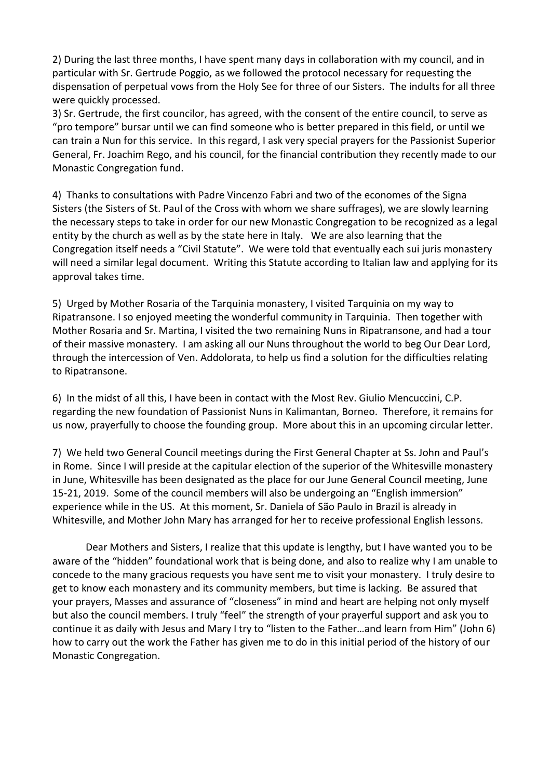2) During the last three months, I have spent many days in collaboration with my council, and in particular with Sr. Gertrude Poggio, as we followed the protocol necessary for requesting the dispensation of perpetual vows from the Holy See for three of our Sisters. The indults for all three were quickly processed.

3) Sr. Gertrude, the first councilor, has agreed, with the consent of the entire council, to serve as "pro tempore" bursar until we can find someone who is better prepared in this field, or until we can train a Nun for this service. In this regard, I ask very special prayers for the Passionist Superior General, Fr. Joachim Rego, and his council, for the financial contribution they recently made to our Monastic Congregation fund.

4) Thanks to consultations with Padre Vincenzo Fabri and two of the economes of the Signa Sisters (the Sisters of St. Paul of the Cross with whom we share suffrages), we are slowly learning the necessary steps to take in order for our new Monastic Congregation to be recognized as a legal entity by the church as well as by the state here in Italy. We are also learning that the Congregation itself needs a "Civil Statute". We were told that eventually each sui juris monastery will need a similar legal document. Writing this Statute according to Italian law and applying for its approval takes time.

5) Urged by Mother Rosaria of the Tarquinia monastery, I visited Tarquinia on my way to Ripatransone. I so enjoyed meeting the wonderful community in Tarquinia. Then together with Mother Rosaria and Sr. Martina, I visited the two remaining Nuns in Ripatransone, and had a tour of their massive monastery. I am asking all our Nuns throughout the world to beg Our Dear Lord, through the intercession of Ven. Addolorata, to help us find a solution for the difficulties relating to Ripatransone.

6) In the midst of all this, I have been in contact with the Most Rev. Giulio Mencuccini, C.P. regarding the new foundation of Passionist Nuns in Kalimantan, Borneo. Therefore, it remains for us now, prayerfully to choose the founding group. More about this in an upcoming circular letter.

7) We held two General Council meetings during the First General Chapter at Ss. John and Paul's in Rome. Since I will preside at the capitular election of the superior of the Whitesville monastery in June, Whitesville has been designated as the place for our June General Council meeting, June 15-21, 2019. Some of the council members will also be undergoing an "English immersion" experience while in the US. At this moment, Sr. Daniela of São Paulo in Brazil is already in Whitesville, and Mother John Mary has arranged for her to receive professional English lessons.

Dear Mothers and Sisters, I realize that this update is lengthy, but I have wanted you to be aware of the "hidden" foundational work that is being done, and also to realize why I am unable to concede to the many gracious requests you have sent me to visit your monastery. I truly desire to get to know each monastery and its community members, but time is lacking. Be assured that your prayers, Masses and assurance of "closeness" in mind and heart are helping not only myself but also the council members. I truly "feel" the strength of your prayerful support and ask you to continue it as daily with Jesus and Mary I try to "listen to the Father…and learn from Him" (John 6) how to carry out the work the Father has given me to do in this initial period of the history of our Monastic Congregation.